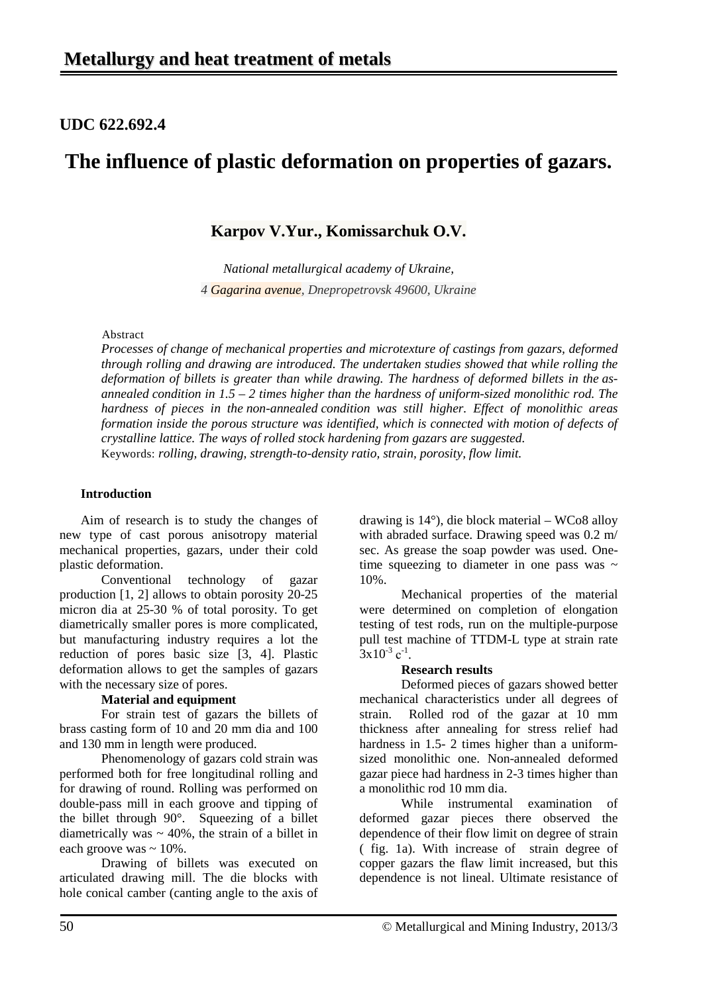## **UDC 622.692.4**

# **The influence of plastic deformation on properties of gazars.**

### **Karpov V.Yur., Komissarchuk O.V.**

*National metallurgical academy of Ukraine, 4 Gagarina avenue, Dnepropetrovsk 49600, Ukraine*

#### Abstract

*Processes of change of mechanical properties and microtexture of castings from gazars, deformed through rolling and drawing are introduced. The undertaken studies showed that while rolling the deformation of billets is greater than while drawing. The hardness of deformed billets in the [as](http://www.multitran.ru/c/m.exe?t=6272862_1_2)[annealed](http://www.multitran.ru/c/m.exe?t=6272862_1_2) condition in 1.5 – 2 times higher than the hardness of uniform-sized monolithic rod. The hardness of pieces in the [non-annealed](http://www.multitran.ru/c/m.exe?t=6272862_1_2) condition was still higher. Effect of monolithic areas formation inside the porous structure was identified, which is connected with motion of defects of crystalline lattice. The ways of rolled stock hardening from gazars are suggested.*  Keywords: *rolling, drawing, strength-to-density ratio, strain, porosity, flow limit.*

#### **Introduction**

Aim of research is to study the changes of new type of cast porous anisotropy material mechanical properties, gazars, under their cold plastic deformation.

Conventional technology of gazar production [1, 2] allows to obtain porosity 20-25 micron dia at 25-30 % of total porosity. To get diametrically smaller pores is more complicated, but manufacturing industry requires a lot the reduction of pores basic size [3, 4]. Plastic deformation allows to get the samples of gazars with the necessary size of pores.

#### **Material and equipment**

For strain test of gazars the billets of brass casting form of 10 and 20 mm dia and 100 and 130 mm in length were produced.

Phenomenology of gazars cold strain was performed both for free longitudinal rolling and for drawing of round. Rolling was performed on double-pass mill in each groove and tipping of the billet through 90°. Squeezing of a billet diametrically was  $\sim$  40%, the strain of a billet in each groove was  $\sim 10\%$ .

Drawing of billets was executed on articulated drawing mill. The die blocks with hole conical camber (canting angle to the axis of

drawing is 14°), die block material – WCo8 alloy with abraded surface. Drawing speed was 0.2 m/ sec. As grease the soap powder was used. Onetime squeezing to diameter in one pass was  $\sim$ 10%.

Mechanical properties of the material were determined on completion of elongation testing of test rods, run on the multiple-purpose pull test machine of TTDM-L type at strain rate  $3x10^{-3}$  c<sup>-1</sup>.

#### **Research results**

Deformed pieces of gazars showed better mechanical characteristics under all degrees of strain. Rolled rod of the gazar at 10 mm thickness after annealing for stress relief had hardness in 1.5- 2 times higher than a uniformsized monolithic one. Non-annealed deformed gazar piece had hardness in 2-3 times higher than a monolithic rod 10 mm dia.

While instrumental examination of deformed gazar pieces there observed the dependence of their flow limit on degree of strain ( fig. 1a). With increase of strain degree of copper gazars the flaw limit increased, but this dependence is not lineal. Ultimate resistance of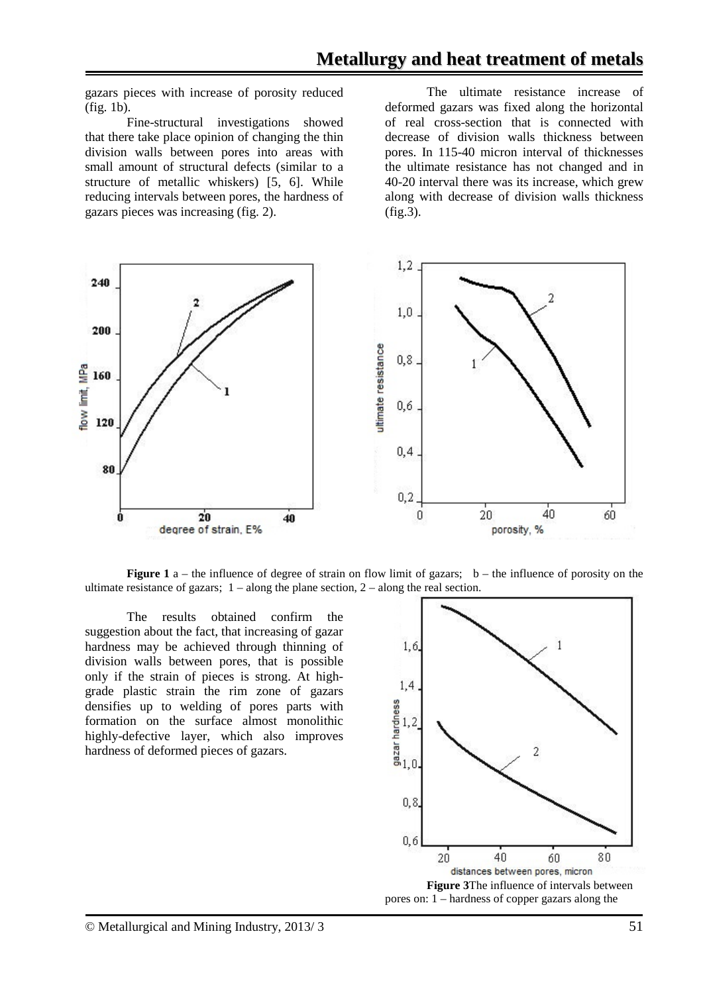gazars pieces with increase of porosity reduced (fig. 1b).

Fine-structural investigations showed that there take place opinion of changing the thin division walls between pores into areas with small amount of structural defects (similar to a structure of metallic whiskers) [5, 6]. While reducing intervals between pores, the hardness of gazars pieces was increasing (fig. 2).

The ultimate resistance increase of deformed gazars was fixed along the horizontal of real cross-section that is connected with decrease of division walls thickness between pores. In 115-40 micron interval of thicknesses the ultimate resistance has not changed and in 40-20 interval there was its increase, which grew along with decrease of division walls thickness (fig.3).



**Figure 1** a – the influence of degree of strain on flow limit of gazars;  $b -$  the influence of porosity on the ultimate resistance of gazars;  $1 - along the plane section, 2 - along the real section.$ 

The results obtained confirm the suggestion about the fact, that increasing of gazar hardness may be achieved through thinning of division walls between pores, that is possible only if the strain of pieces is strong. At highgrade plastic strain the rim zone of gazars densifies up to welding of pores parts with formation on the surface almost monolithic highly-defective layer, which also improves hardness of deformed pieces of gazars.

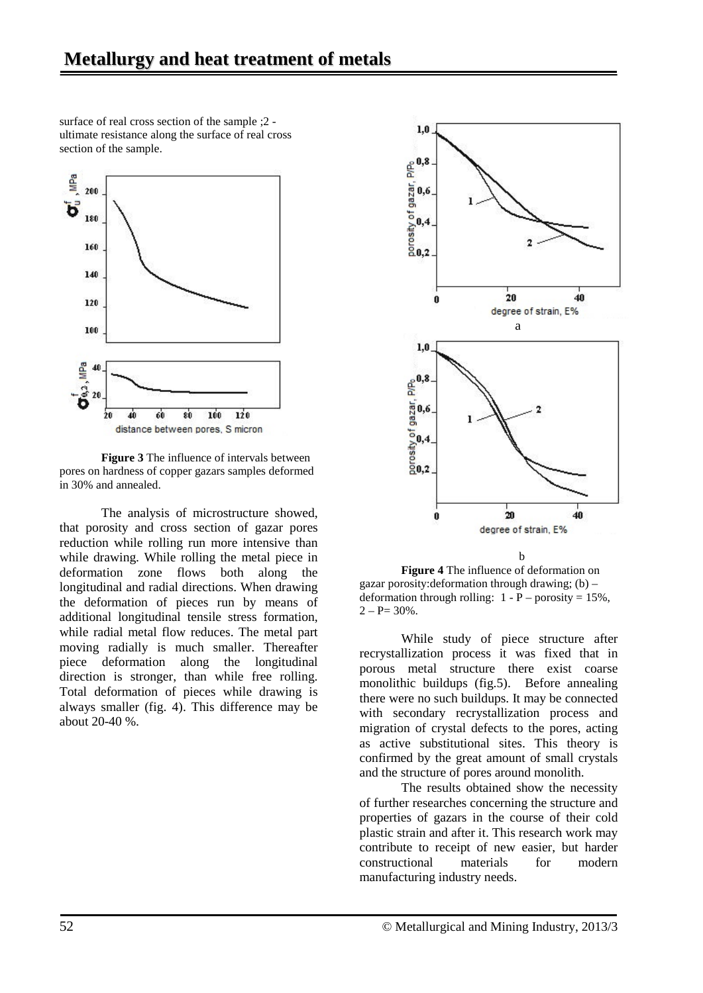surface of real cross section of the sample ;2 ultimate resistance along the surface of real cross section of the sample.



**Figure 3** The influence of intervals between pores on hardness of copper gazars samples deformed in 30% and annealed.

The analysis of microstructure showed, that porosity and cross section of gazar pores reduction while rolling run more intensive than while drawing. While rolling the metal piece in deformation zone flows both along the longitudinal and radial directions. When drawing the deformation of pieces run by means of additional longitudinal tensile stress formation, while radial metal flow reduces. The metal part moving radially is much smaller. Thereafter piece deformation along the longitudinal direction is stronger, than while free rolling. Total deformation of pieces while drawing is always smaller (fig. 4). This difference may be about 20-40 %.



**Figure 4** The influence of deformation on gazar porosity: deformation through drawing;  $(b)$  – deformation through rolling:  $1 - P -$  porosity = 15%,  $2 - P = 30\%$ .

While study of piece structure after recrystallization process it was fixed that in porous metal structure there exist coarse monolithic buildups (fig.5). Before annealing there were no such buildups. It may be connected with secondary recrystallization process and migration of crystal defects to the pores, acting as active substitutional sites. This theory is confirmed by the great amount of small crystals and the structure of pores around monolith.

The results obtained show the necessity of further researches concerning the structure and properties of gazars in the course of their cold plastic strain and after it. This research work may contribute to receipt of new easier, but harder<br>constructional materials for modern constructional materials for manufacturing industry needs.